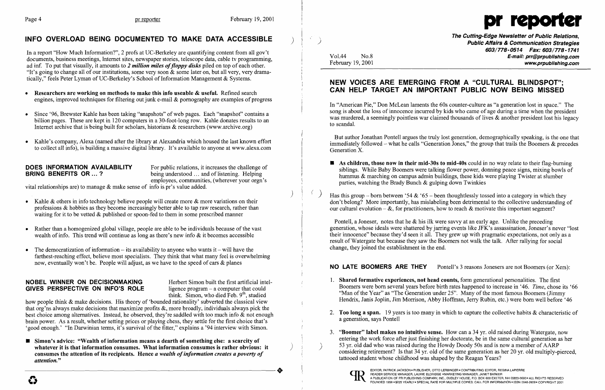

In a report "How Much Information?", 2 profs at UC-Berkeley are quantifying content from all gov't documents, business meetings, Internet sites, newspaper stories, telescope data, cable tv programming, ad inf. To put that visually, it amounts to 2 *million miles of floppy disks* piled on top of each other. "It's going to change all of our institutions, some very soon  $\&$  some later on, but all very, very dramatically," feels Peter Lyman of UC-Berkeley's School of Information Management & Systems.

# INFO OVERLOAD BEING DOCUMENTED TO MAKE DATA ACCESSIBLE

- Researchers are working on methods to make this info useable & useful. Refined search engines, improved techniques for filtering out junk e-mail & pornography are examples of progress
- Since '96, Brewster Kahle has been taking "snapshots" of web pages. Each "snapshot" contains a billion pages. These are kept in 120 computers in a 30-foot-long row. Kahle donates results to an Internet archive that is being built for scholars, historians & researchers (www.archive.org)
- Kahle's company, Alexa (named after the library at Alexandria which housed the last known effort to collect all info), is building a massive digital library. It's available to anyone at www.alexa.com

**DOES INFORMATION AVAILABILITY** For public relations, it increases the challenge of **BRING BENEFITS OR** ... ? being understood ... and of listening. Helping being understood ... and of listening. Helping employees, communities, (wherever your orgn's

- Kahle & others in info technology believe people will create more  $\&$  more variations on their professions & hobbies as they become increasingly better able to tap raw research, rather than waiting for it to be vetted & published or spoon-fed to them in some prescribed manner
- Rather than a homogenized global village, people are able to be individuals because of the vast wealth of info. This trend will continue as long as there's new info & it becomes accessible
- The democratization of information  $-$  its availability to anyone who wants it  $-$  will have the farthest-reaching effect, believe most specialists. They think that what many feel is overwhelming now, eventually won't be. People will adjust, as we have to the speed of cars & planes

### NOBEL WINNER ON DECISIONMAKING Herbert Simon built the first artificial intel-GIVES PERSPECTIVE ON INFO'S ROLE ligence program  $-$  a computer that could

think. Simon, who died Feb.  $9<sup>th</sup>$ , studied

vital relationships are) to manage & make sense of info is pr's value added.

**•** Simon's advice: "Wealth of information means a dearth of something else: a scarcity of whatever it is that information consumes. What information consumes is rather obvious: it consumes the attention of its recipients. Hence *a wealth of information creates a poverty of*<br>
attention." *attention. "* 

 $\blacksquare$  As children, those now in their mid-30s to mid-40s could in no way relate to their flag-burning siblings. While Baby Boomers were talking flower power, donning peace signs, mixing bowls of hummus & marching on campus admin buildings, these kids were playing Twister at slumber

- parties, watching the Brady Bunch & gulping down Twinkies
- Has this group born between '54 & '65 been thoughtlessly tossed into a category in which they our cultural evolution  $-\&$ , for practitioners, how to reach  $\&$  motivate this important segment?

Pontell, a Joneser, notes that he  $\&$  his ilk were savvy at an early age. Unlike the preceding generation, whose ideals were shattered by jarring events like JFK's assassination, Joneser's never "lost their innocence" because they'd seen it all. They grew up with pragmatic expectations, not only as a result of Watergate but because they saw the Boomers not walk the talk. After rallying for social change, they joined the establishment in the end.

how people think & make decisions. His theory of 'bounded rationality' subverted the classical view that org'ns always make decisions that maximize profits &, more broadly, individuals always pick the best choice among alternatives. Instead, he observed, they're saddled with too much info & not enough brain power. As a result, whether setting prices or playing chess, they settle for the first choice that's 'good enough.' "In Darwinian terms, it's survival of the fitter," explains a '94 interview with Simon.

3. "Boomer" label makes no intuitive sense. How can a 34 yr. old raised during Watergate, now entering the work force after just finishing her doctorate, be in the same cultural generation as her considering retirement? Is that 34 yr. old of the same generation as her 20 yr. old multiply-pierced,

- 1. Shared formative experiences, not head counts, form generational personalities. The first
- a generation, says Pontell
- 53 yr. old dad who was raised during the Howdy Doody 50s and is now a member of AARP tattooed student whose childhood was shaped by the Reagan Years?



) )

'>

Vo1.44 No.8 February 19, 2001 The Cutting-Edge Newsletter of Public Relations, Public Affairs & Communication Strategies 603/778-0514 Fax: 603/778-1741 E-mail: prr@prpublishing.com www.prpublishing.com

# NEW VOICES ARE EMERGING FROM A "CULTURAL BLiNDSPOT"; CAN HELP TARGET AN IMPORTANT PUBLIC NOW BEING MISSED

In "American Pie," Don McLean laments the 60s counter-culture as "a generation lost in space." The song is about the loss of innocence incurred by kids who came of age during a time when the president was murdered, a seemingly pointless war claimed thousands of lives & another president lost his legacy to scandal.

But author Jonathan Pontell argues the truly lost generation, demographically speaking, is the one that immediately followed – what he calls "Generation Jones," the group that trails the Boomers  $\&$  precedes Generation X.

don't belong? More importantly, has mislabeling been detrimental to the collective understanding of

### NO LATE BOOMERS ARE THEY Pontell's 3 reasons Jonesers are not Boomers (or Xers):

Boomers were born several years before birth rates happened to increase in '46. *Time,* chose its '66 "Man of the Year" as "The Generation under 25". Many of the most famous Boomers (Jimmy Hendrix, Janis Joplin, Jim Morrison, Abby Hoffman, Jerry Rubin, etc.) were born well before '46

2. Too long a span. 19 years is too many in which to capture the collective habits  $\&$  characteristic of